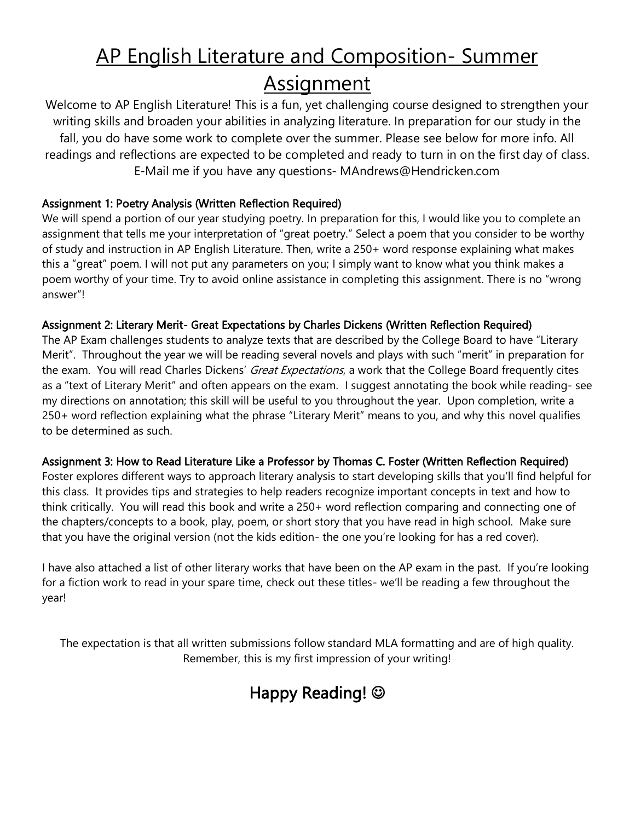# AP English Literature and Composition- Summer Assignment

Welcome to AP English Literature! This is a fun, yet challenging course designed to strengthen your writing skills and broaden your abilities in analyzing literature. In preparation for our study in the fall, you do have some work to complete over the summer. Please see below for more info. All readings and reflections are expected to be completed and ready to turn in on the first day of class. E-Mail me if you have any questions- MAndrews@Hendricken.com

## Assignment 1: Poetry Analysis (Written Reflection Required)

We will spend a portion of our year studying poetry. In preparation for this, I would like you to complete an assignment that tells me your interpretation of "great poetry." Select a poem that you consider to be worthy of study and instruction in AP English Literature. Then, write a 250+ word response explaining what makes this a "great" poem. I will not put any parameters on you; I simply want to know what you think makes a poem worthy of your time. Try to avoid online assistance in completing this assignment. There is no "wrong answer"!

## Assignment 2: Literary Merit- Great Expectations by Charles Dickens (Written Reflection Required)

The AP Exam challenges students to analyze texts that are described by the College Board to have "Literary Merit". Throughout the year we will be reading several novels and plays with such "merit" in preparation for the exam. You will read Charles Dickens' Great Expectations, a work that the College Board frequently cites as a "text of Literary Merit" and often appears on the exam. I suggest annotating the book while reading- see my directions on annotation; this skill will be useful to you throughout the year. Upon completion, write a 250+ word reflection explaining what the phrase "Literary Merit" means to you, and why this novel qualifies to be determined as such.

## Assignment 3: How to Read Literature Like a Professor by Thomas C. Foster (Written Reflection Required)

Foster explores different ways to approach literary analysis to start developing skills that you'll find helpful for this class. It provides tips and strategies to help readers recognize important concepts in text and how to think critically. You will read this book and write a 250+ word reflection comparing and connecting one of the chapters/concepts to a book, play, poem, or short story that you have read in high school. Make sure that you have the original version (not the kids edition- the one you're looking for has a red cover).

I have also attached a list of other literary works that have been on the AP exam in the past. If you're looking for a fiction work to read in your spare time, check out these titles- we'll be reading a few throughout the year!

The expectation is that all written submissions follow standard MLA formatting and are of high quality. Remember, this is my first impression of your writing!

## Happy Reading!  $\odot$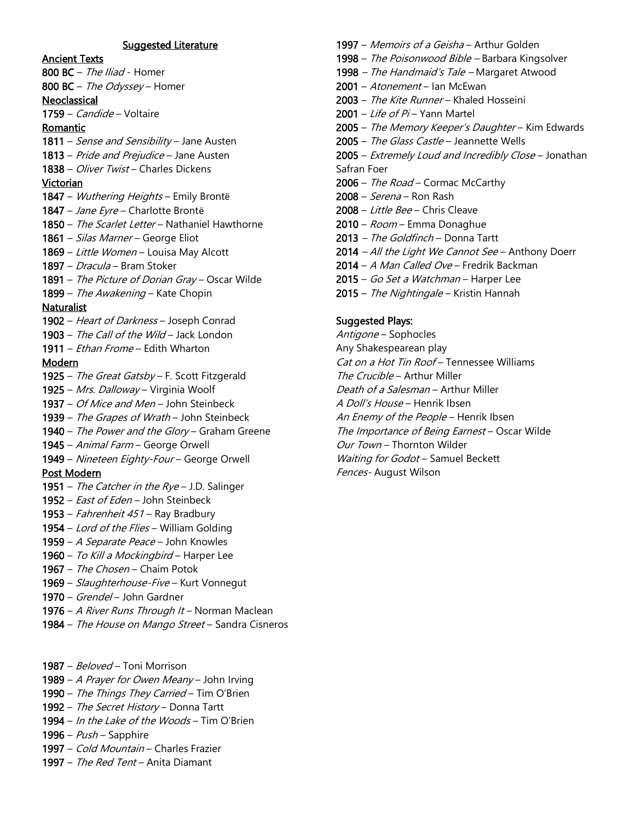#### Suggested Literature

#### Ancient Texts

800 BC - The Iliad - Homer 800 BC - The Odyssey - Homer **Neoclassical** 1759 – Candide – Voltaire Romantic 1811 – Sense and Sensibility – Jane Austen 1813 – Pride and Prejudice – Jane Austen 1838 – *Oliver Twist* – Charles Dickens **Victorian** 1847 – Wuthering Heights – Emily Brontë 1847 – Jane Eyre – Charlotte Brontë 1850 – The Scarlet Letter – Nathaniel Hawthorne 1861 – Silas Marner – George Eliot 1869 – Little Women – Louisa May Alcott 1897 – Dracula – Bram Stoker 1891 - The Picture of Dorian Gray - Oscar Wilde 1899 - The Awakening - Kate Chopin **Naturalist** 1902 – Heart of Darkness – Joseph Conrad 1903 – The Call of the Wild – Jack London 1911 – Ethan Frome – Edith Wharton Modern 1925 – The Great Gatsby - F. Scott Fitzgerald 1925 – Mrs. Dalloway – Virginia Woolf 1937 – Of Mice and Men - John Steinbeck 1939 – The Grapes of Wrath – John Steinbeck 1940 – The Power and the Glory – Graham Greene 1945 – Animal Farm – George Orwell 1949 – Nineteen Eighty-Four – George Orwell Post Modern 1951 – The Catcher in the  $Rve - J.D.$  Salinger 1952 – *East of Eden* – John Steinbeck 1953 – Fahrenheit 451 – Ray Bradbury 1954 – Lord of the Flies – William Golding 1959 – A Separate Peace – John Knowles 1960 – To Kill a Mockingbird – Harper Lee 1967 – The Chosen – Chaim Potok 1969 – Slaughterhouse-Five – Kurt Vonnegut

- 1970 Grendel John Gardner
- 1976 A River Runs Through It Norman Maclean
- 1984 The House on Mango Street Sandra Cisneros
- 1987 Beloved Toni Morrison
- 1989 A Prayer for Owen Meany John Irving
- 1990 The Things They Carried Tim O'Brien
- 1992 The Secret History Donna Tartt
- 1994 In the Lake of the Woods Tim O'Brien
- 1996  $Push$  Sapphire
- 1997 Cold Mountain Charles Frazier
- 1997 The Red Tent Anita Diamant

1998 – The Poisonwood Bible – Barbara Kingsolver 1998 – The Handmaid's Tale – Margaret Atwood 2001 - Atonement - Ian McEwan 2003 – The Kite Runner – Khaled Hosseini 2001 – Life of Pi – Yann Martel 2005 – The Memory Keeper's Daughter - Kim Edwards 2005 - The Glass Castle - Jeannette Wells 2005 – Extremely Loud and Incredibly Close – Jonathan Safran Foer 2006 - The Road - Cormac McCarthy  $2008 - Serena -$  Ron Rash 2008 – Little Bee – Chris Cleave 2010 – Room – Emma Donaghue 2013 – The Goldfinch - Donna Tartt 2014 - All the Light We Cannot See - Anthony Doerr 2014 – A Man Called Ove – Fredrik Backman 2015 – Go Set a Watchman – Harper Lee

1997 – Memoirs of a Geisha – Arthur Golden

2015 – The Nightingale – Kristin Hannah

#### Suggested Plays:

Antigone – Sophocles Any Shakespearean play Cat on a Hot Tin Roof – Tennessee Williams The Crucible – Arthur Miller Death of a Salesman – Arthur Miller A Doll's House – Henrik Ibsen An Enemy of the People - Henrik Ibsen The Importance of Being Earnest - Oscar Wilde Our Town – Thornton Wilder Waiting for Godot - Samuel Beckett Fences- August Wilson